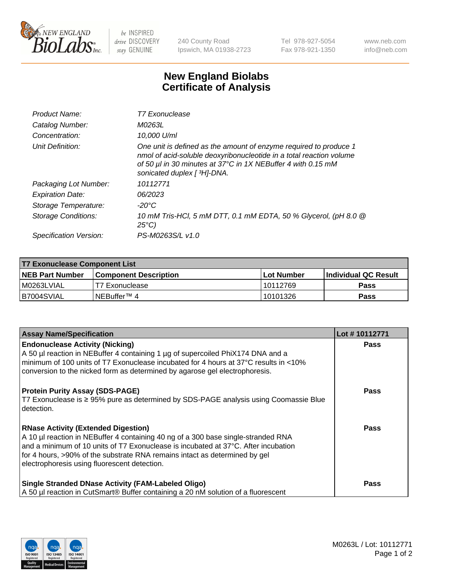

 $be$  INSPIRED drive DISCOVERY stay GENUINE

240 County Road Ipswich, MA 01938-2723 Tel 978-927-5054 Fax 978-921-1350 www.neb.com info@neb.com

## **New England Biolabs Certificate of Analysis**

| Product Name:           | T7 Exonuclease                                                                                                                                                                                                                          |
|-------------------------|-----------------------------------------------------------------------------------------------------------------------------------------------------------------------------------------------------------------------------------------|
| Catalog Number:         | M0263L                                                                                                                                                                                                                                  |
| Concentration:          | 10,000 U/ml                                                                                                                                                                                                                             |
| Unit Definition:        | One unit is defined as the amount of enzyme required to produce 1<br>nmol of acid-soluble deoxyribonucleotide in a total reaction volume<br>of 50 µl in 30 minutes at 37°C in 1X NEBuffer 4 with 0.15 mM<br>sonicated duplex [ 3H]-DNA. |
| Packaging Lot Number:   | 10112771                                                                                                                                                                                                                                |
| <b>Expiration Date:</b> | 06/2023                                                                                                                                                                                                                                 |
| Storage Temperature:    | -20°C                                                                                                                                                                                                                                   |
| Storage Conditions:     | 10 mM Tris-HCl, 5 mM DTT, 0.1 mM EDTA, 50 % Glycerol, (pH 8.0 @<br>$25^{\circ}$ C)                                                                                                                                                      |
| Specification Version:  | PS-M0263S/L v1.0                                                                                                                                                                                                                        |

| T7 Exonuclease Component List |                              |            |                       |  |  |
|-------------------------------|------------------------------|------------|-----------------------|--|--|
| <b>NEB Part Number</b>        | <b>Component Description</b> | Lot Number | ∣Individual QC Result |  |  |
| I M0263LVIAL                  | T7 Exonuclease               | 10112769   | <b>Pass</b>           |  |  |
| B7004SVIAL                    | INEBuffer™ 4                 | 10101326   | Pass                  |  |  |

| <b>Assay Name/Specification</b>                                                                                                                                                                                                                                                                                                                     | Lot #10112771 |
|-----------------------------------------------------------------------------------------------------------------------------------------------------------------------------------------------------------------------------------------------------------------------------------------------------------------------------------------------------|---------------|
| <b>Endonuclease Activity (Nicking)</b><br>A 50 µl reaction in NEBuffer 4 containing 1 µg of supercoiled PhiX174 DNA and a<br>I minimum of 100 units of T7 Exonuclease incubated for 4 hours at 37°C results in <10%<br>conversion to the nicked form as determined by agarose gel electrophoresis.                                                  | <b>Pass</b>   |
| <b>Protein Purity Assay (SDS-PAGE)</b><br>T7 Exonuclease is ≥ 95% pure as determined by SDS-PAGE analysis using Coomassie Blue<br>detection.                                                                                                                                                                                                        | <b>Pass</b>   |
| <b>RNase Activity (Extended Digestion)</b><br>A 10 µl reaction in NEBuffer 4 containing 40 ng of a 300 base single-stranded RNA<br>and a minimum of 10 units of T7 Exonuclease is incubated at 37°C. After incubation<br>for 4 hours, >90% of the substrate RNA remains intact as determined by gel<br>electrophoresis using fluorescent detection. | Pass          |
| <b>Single Stranded DNase Activity (FAM-Labeled Oligo)</b><br>A 50 µl reaction in CutSmart® Buffer containing a 20 nM solution of a fluorescent                                                                                                                                                                                                      | Pass          |